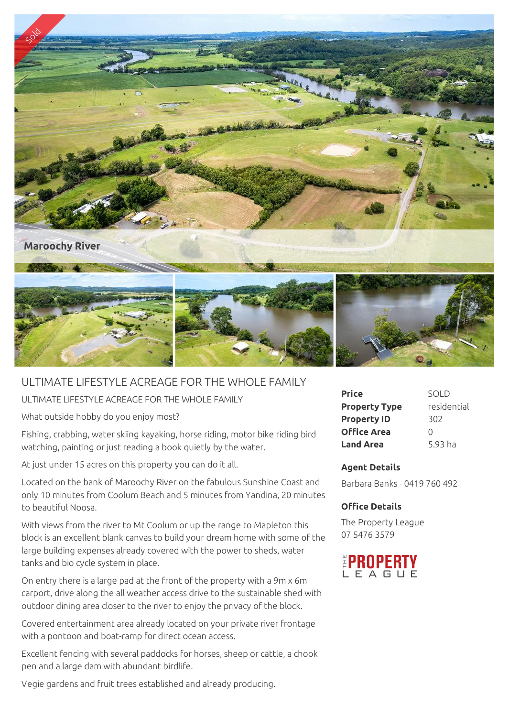

## ULTIMATE LIFESTYLE ACREAGE FOR THE WHOLE FAMILY

ULTIMATE LIFESTYLE ACREAGE FOR THE WHOLE FAMILY

What outside hobby do you enjoy most?

Fishing, crabbing, water skiing kayaking, horse riding, motor bike riding bird watching, painting or just reading a book quietly by the water.

At just under 15 acres on this property you can do it all.

Located on the bank of Maroochy River on the fabulous Sunshine Coast and only 10 minutes from Coolum Beach and 5 minutes from Yandina, 20 minutes to beautiful Noosa.

With views from the river to Mt Coolum or up the range to Mapleton this block is an excellent blank canvas to build your dream home with some of the large building expenses already covered with the power to sheds, water tanks and bio cycle system in place.

On entry there is a large pad at the front of the property with a 9m x 6m carport, drive along the all weather access drive to the sustainable shed with outdoor dining area closer to the river to enjoy the privacy of the block.

Covered entertainment area already located on your private river frontage with a pontoon and boat-ramp for direct ocean access.

Excellent fencing with several paddocks for horses, sheep or cattle, a chook pen and a large dam with abundant birdlife.

Vegie gardens and fruit trees established and already producing.

| <b>Price</b>         | <b>SOLD</b> |
|----------------------|-------------|
| <b>Property Type</b> | residential |
| <b>Property ID</b>   | 302         |
| <b>Office Area</b>   | $\cap$      |
| <b>Land Area</b>     | 5.93 ha     |

## **Agent Details**

Barbara Banks - 0419 760 492

## **Office Details**

The Property League 07 5476 3579